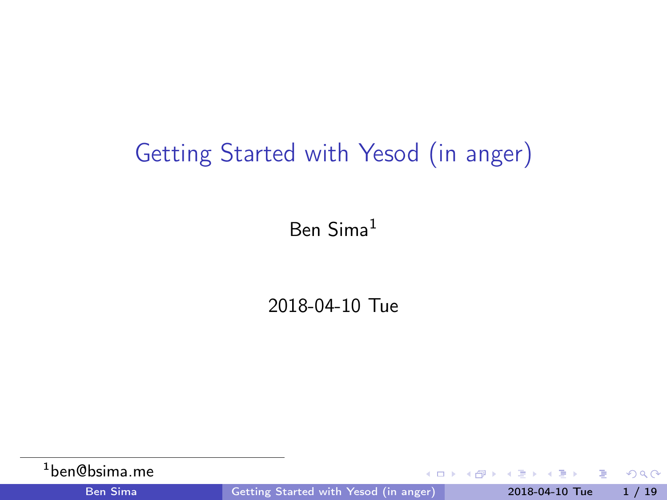## <span id="page-0-0"></span>Getting Started with Yesod (in anger)

Ben Sima<sup>1</sup>

2018-04-10 Tue

| <sup>1</sup> ben@bsima.me |                                              | - KED KA KED KED E 1990 |  |
|---------------------------|----------------------------------------------|-------------------------|--|
| <b>Ben Sima</b>           | <b>Getting Started with Yesod (in anger)</b> | $2018-04-10$ Tue $1/19$ |  |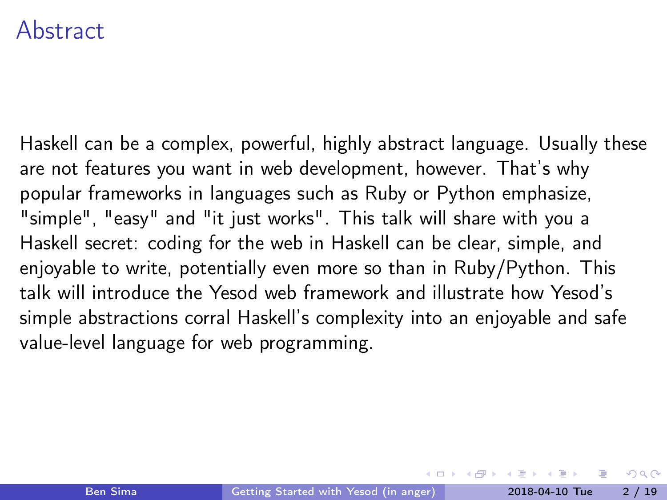#### Abstract

Haskell can be a complex, powerful, highly abstract language. Usually these are not features you want in web development, however. That's why popular frameworks in languages such as Ruby or Python emphasize, "simple", "easy" and "it just works". This talk will share with you a Haskell secret: coding for the web in Haskell can be clear, simple, and enjoyable to write, potentially even more so than in Ruby/Python. This talk will introduce the Yesod web framework and illustrate how Yesod's simple abstractions corral Haskell's complexity into an enjoyable and safe value-level language for web programming.

 $\Omega$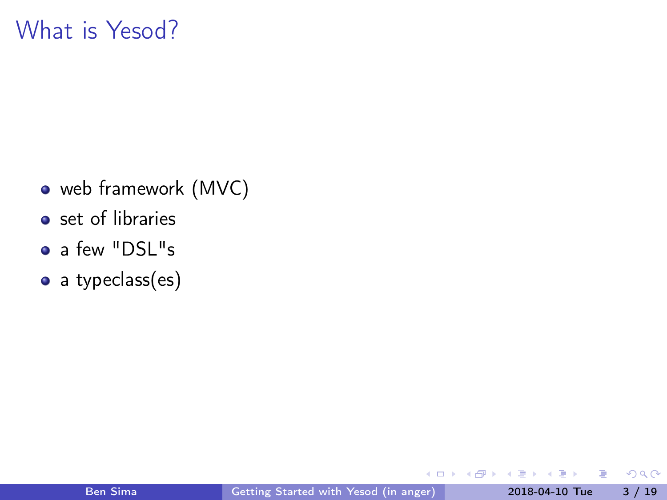### What is Yesod?

- web framework (MVC)
- set of libraries
- a few "DSL"s
- a typeclass(es)

4 **D** F

闹  $\rightarrow$  э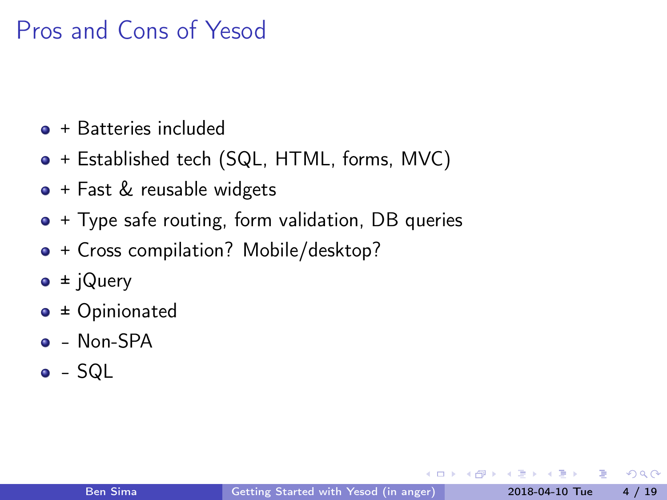## Pros and Cons of Yesod

- $\bullet$  + Batteries included
- + Established tech (SQL, HTML, forms, MVC)
- + Fast & reusable widgets
- $\bullet$  + Type safe routing, form validation, DB queries
- + Cross compilation? Mobile/desktop?
- $\bullet \pm i$ Query
- ± Opinionated
- $\bullet$  Non-SPA
- $\bullet$  SQL

 $200$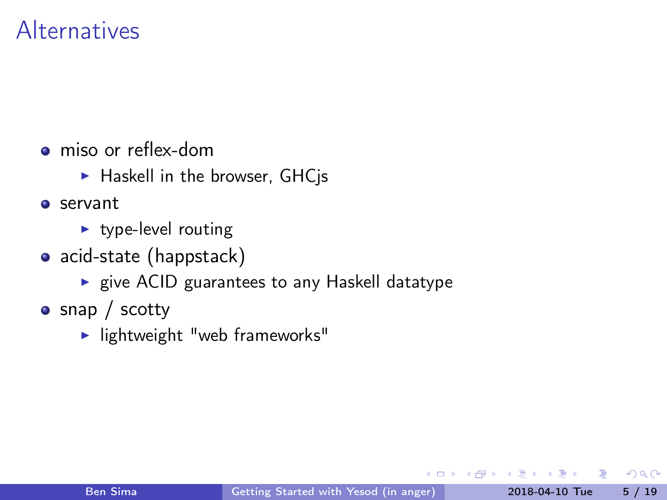### Alternatives

- [miso](https://haskell-miso.org/) or [reflex-dom](https://github.com/reflex-frp/reflex-platform)
	- $\blacktriangleright$  Haskell in the browser, GHCjs
- **o** [servant](http://haskell-servant.readthedocs.io/en/stable/)
	- $\blacktriangleright$  type-level routing
- [acid-state](https://github.com/acid-state/) [\(happstack\)](http://happstack.com/page/view-page-slug/1/happstack)
	- $\triangleright$  give ACID guarantees to any Haskell datatype
- [snap](http://snapframework.com/) / [scotty](https://github.com/scotty-web/scotty)
	- $\blacktriangleright$  lightweight "web frameworks"

 $\Omega$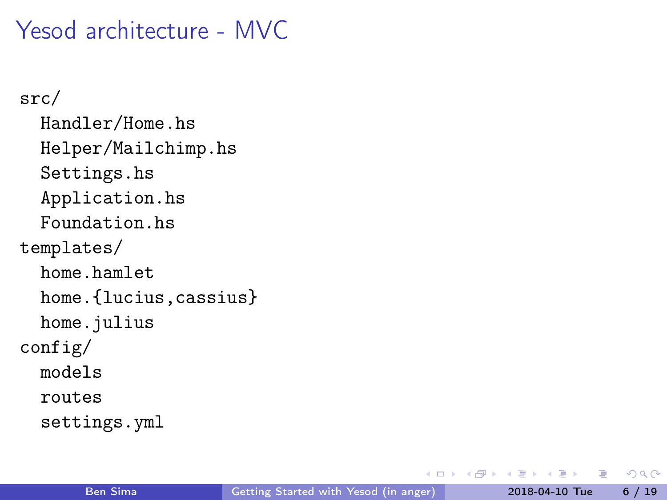Yesod architecture - MVC

src/ Handler/Home.hs Helper/Mailchimp.hs Settings.hs Application.hs Foundation.hs templates/ home.hamlet home.{lucius,cassius} home.julius config/ models routes settings.yml

÷.

**同下 4 三下 4** 

4 **D** F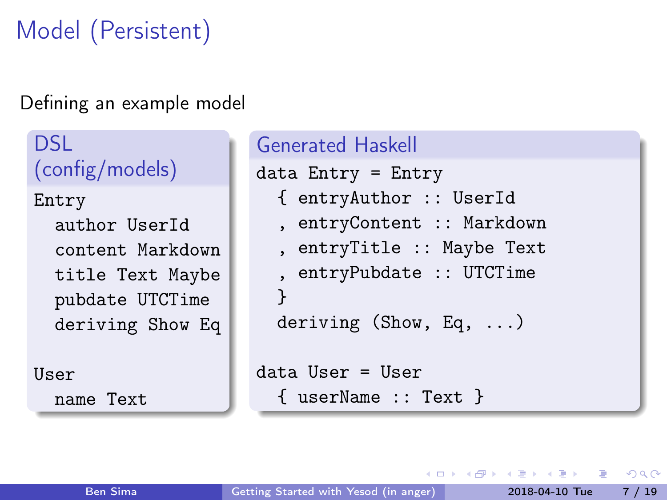# Model (Persistent)

#### Defining an example model

DSL: (config/models) Entry

author UserId content Markdown title Text Maybe pubdate UTCTime deriving Show Eq

User name Text

```
Generated Haskell
data Entry = Entry{ entryAuthor :: UserId
  , entryContent :: Markdown
  , entryTitle :: Maybe Text
  , entryPubdate :: UTCTime
  }
  deriving (Show, Eq, ...)
data User = User
  { userName :: Text }
```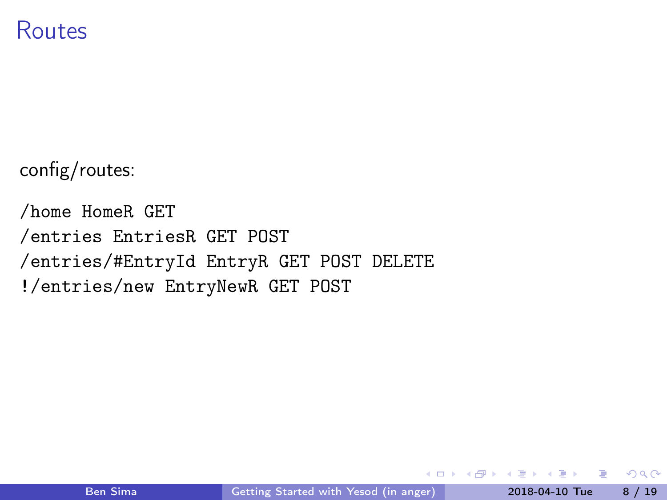#### Routes

config/routes:

/home HomeR GET /entries EntriesR GET POST /entries/#EntryId EntryR GET POST DELETE !/entries/new EntryNewR GET POST

- 3

 $QQ$ 

 $\overline{AB}$   $\rightarrow$   $\overline{AB}$   $\rightarrow$   $\overline{AB}$ 

4 **D** F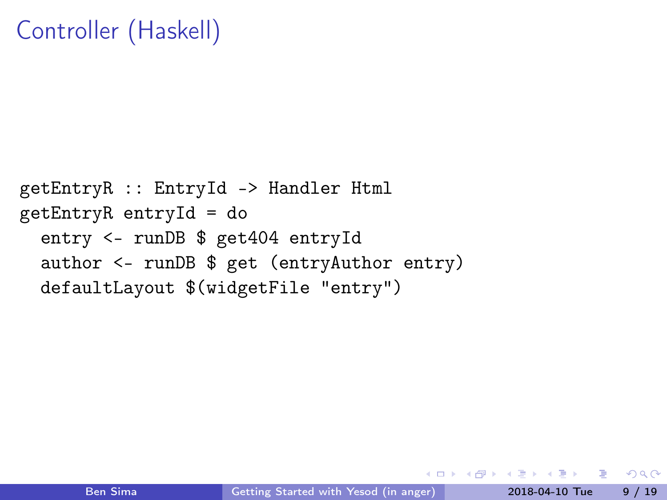## Controller (Haskell)

```
getEntryR :: EntryId -> Handler Html
getEntryR entryId = do
  entry <- runDB $ get404 entryId
  author <- runDB $ get (entryAuthor entry)
  defaultLayout $(widgetFile "entry")
```
 $=$   $\Omega$ 

 $\langle \langle \langle \langle \langle \rangle \rangle \rangle \rangle$  and  $\langle \langle \rangle \rangle$  and  $\langle \rangle$  and  $\langle \rangle$ 

 $\leftarrow$   $\Box$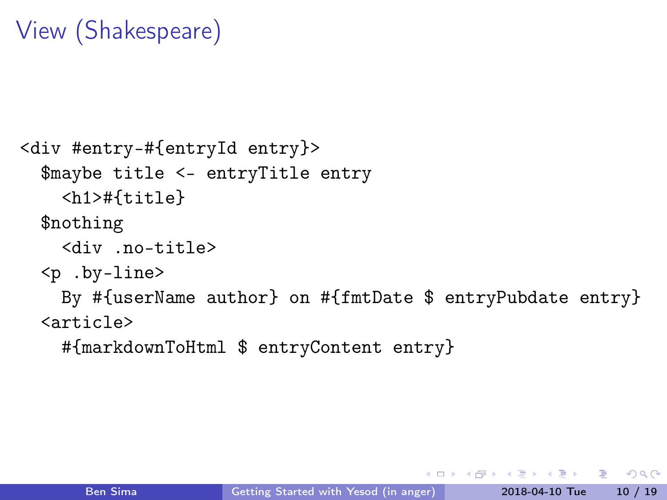## View (Shakespeare)

```
<div #entry-#{entryId entry}>
  $maybe title <- entryTitle entry
    <h1>#{title}
  $nothing
    <div .no-title>
  <p .by-line>
    By #{userName author} on #{fmtDate $ entryPubdate entry}
  <article>
```
#{markdownToHtml \$ entryContent entry}

÷.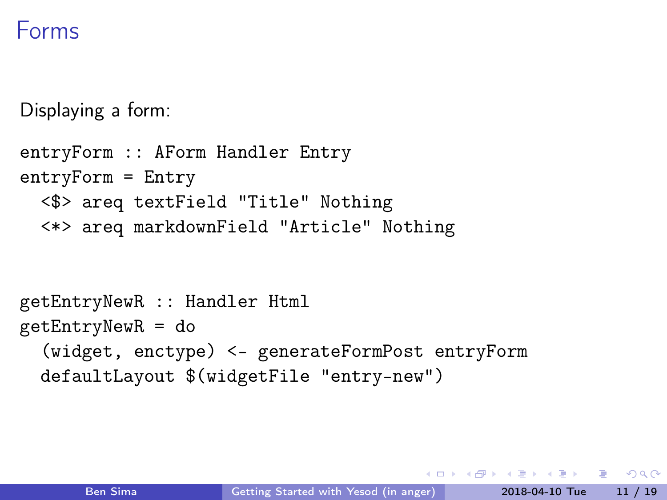### Forms

Displaying a form:

```
entryForm :: AForm Handler Entry
entryForm = Entry
  <$> areq textField "Title" Nothing
  <*> areq markdownField "Article" Nothing
getEntryNewR :: Handler Html
getEntryNewR = do
```
(widget, enctype) <- generateFormPost entryForm defaultLayout \$(widgetFile "entry-new")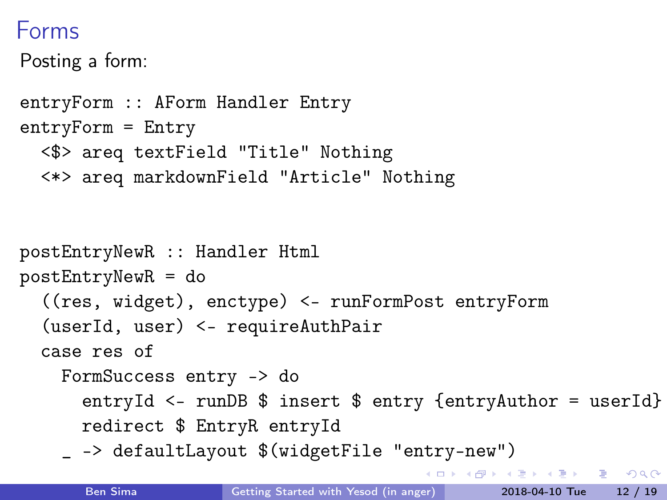## Forms

Posting a form:

```
entryForm :: AForm Handler Entry
entryForm = Entry
  <$> areq textField "Title" Nothing
  <*> areq markdownField "Article" Nothing
postEntryNewR :: Handler Html
postEntryNewR = do
  ((res, widget), enctype) <- runFormPost entryForm
  (userId, user) <- requireAuthPair
  case res of
    FormSuccess entry -> do
      entryId <- runDB $ insert $ entry {entryAuthor = userId}
      redirect $ EntryR entryId
    _ -> defaultLayout $(widgetFile "entry-new")
                                            (@) ( B ) ( B ) = B ( O Q O
```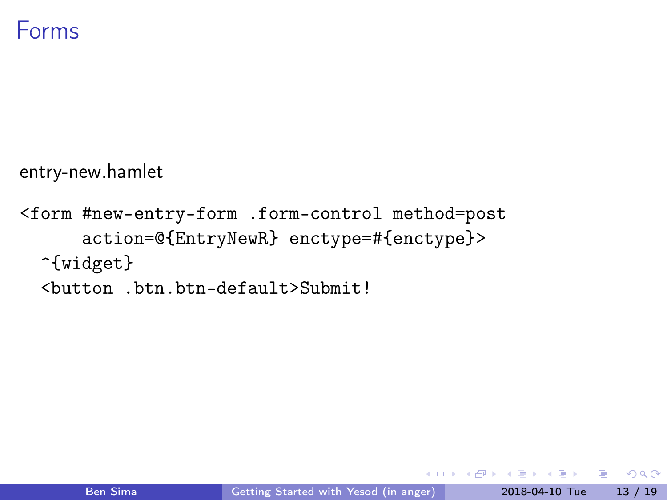

entry-new.hamlet

<form #new-entry-form .form-control method=post action=@{EntryNewR} enctype=#{enctype}> ^{widget} <button .btn.btn-default>Submit!

 $-10.5$ 

E.

The South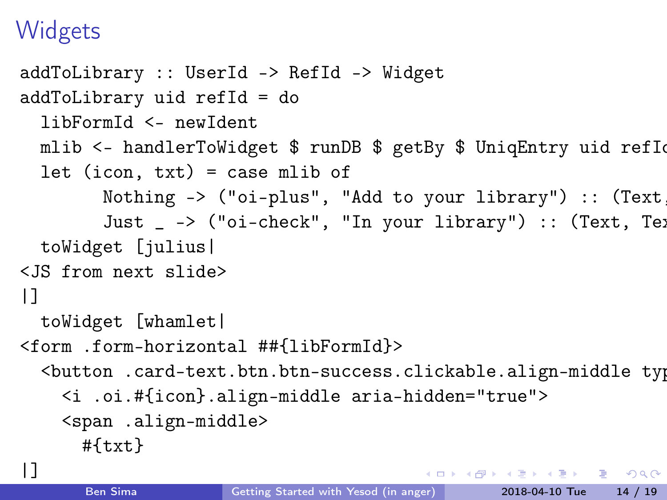## **Widgets**

```
addToLibrary :: UserId -> RefId -> Widget
addToLibrary uid refId = do
 libFormId <- newIdent
 mlib <- handlerToWidget $ runDB $ getBy $ UniqEntry uid refIo
  let (icon, txt) = case mlib of
        Nothing \rightarrow ("oi-plus", "Add to your library") :: (Text)
        Just \sim ("oi-check", "In your library") :: (Text, Text
 toWidget [julius|
<JS from next slide>
|]toWidget [whamlet|
<form .form-horizontal ##{libFormId}>
  <button .card-text.btn.btn-success.clickable.align-middle typ
    <i .oi.#{icon}.align-middle aria-hidden="true">
    <span .align-middle>
     #{txt}
|]
```
K ロ > K ④ > K ミ > K ミ → C → O Q O →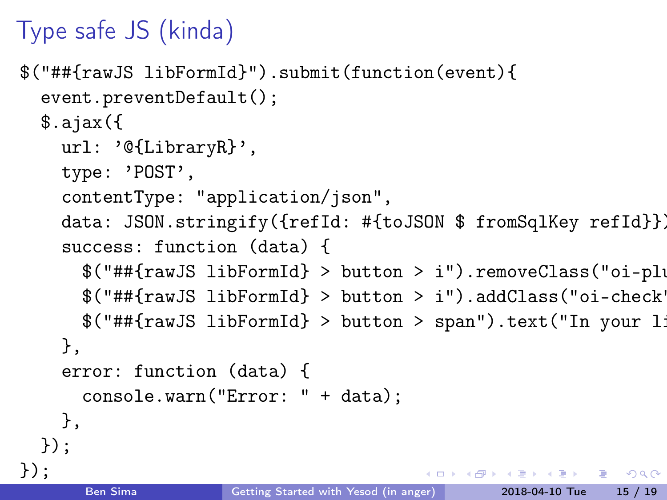# Type safe JS (kinda)

```
$("##{rawJS libFormId}").submit(function(event){
  event.preventDefault();
  \text{3.aiax}(\{url: '@{LibraryR}',
    type: 'POST',
    contentType: "application/json",
    data: JSON.stringify({refId: #{toJSON $ fromSqlKey refId}}),
    success: function (data) {
      $("##{rawJS libFormId} > button > i").removeClass("oi-plus")
      $("##{rawJS libFormId} > button > i").addClass("oi-check");
      $(''##{rawJS libFormId} > button > span") .text("In your 1")},
    error: function (data) {
      console.warn("Error: " + data);
    },
  });
});
                                          KOD KOD KED KED DA GOOD
      Ben Sima Getting Started with Yesod (in anger) 2018-04-10 Tue 15 / 19
```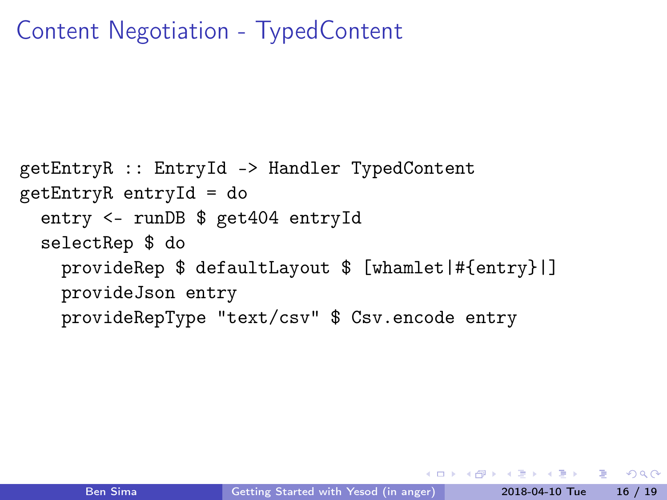## Content Negotiation - TypedContent

```
getEntryR :: EntryId -> Handler TypedContent
getEntryR entryId = do
  entry <- runDB $ get404 entryId
  selectRep $ do
    provideRep $ defaultLayout $ [whamlet|#{entry}|]
   provideJson entry
   provideRepType "text/csv" $ Csv.encode entry
```
KEL KALA KEL KEL ARA KELA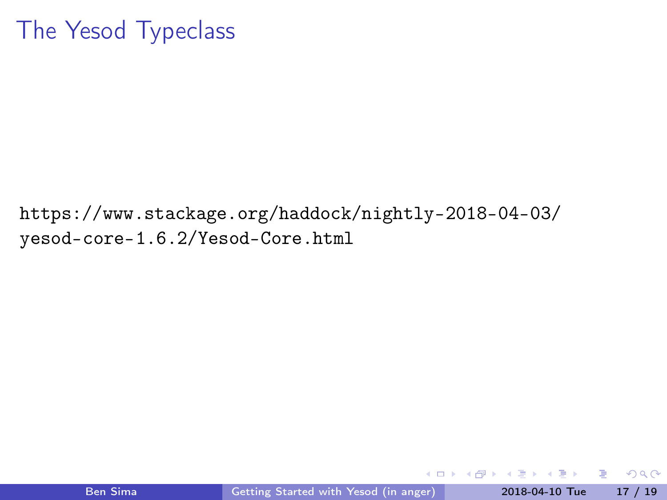## The Yesod Typeclass

[https://www.stackage.org/haddock/nightly-2018-04-03/](https://www.stackage.org/haddock/nightly-2018-04-03/yesod-core-1.6.2/Yesod-Core.html) [yesod-core-1.6.2/Yesod-Core.html](https://www.stackage.org/haddock/nightly-2018-04-03/yesod-core-1.6.2/Yesod-Core.html)

4 D F

4 何 ト ( ÷  $\sim$ 

÷.

 $QQQ$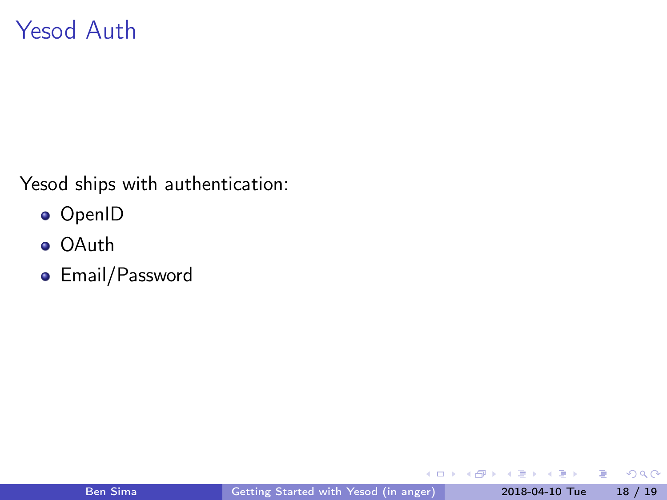## Yesod Auth

Yesod ships with authentication:

- OpenID
- OAuth
- Email/Password

4 D F

●▶

÷ × э